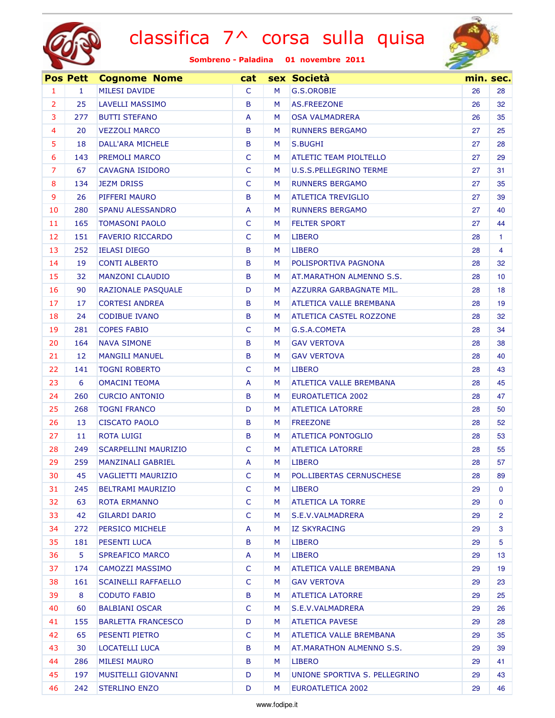



|                | <b>Pos Pett</b> | <b>Cognome Nome</b>         | cat            |   | sex Società                    |    | min. sec.       |
|----------------|-----------------|-----------------------------|----------------|---|--------------------------------|----|-----------------|
| 1              | $\mathbf{1}$    | <b>MILESI DAVIDE</b>        | C              | M | G.S.OROBIE                     | 26 | 28              |
| $\overline{2}$ | 25              | <b>LAVELLI MASSIMO</b>      | B              | M | AS.FREEZONE                    | 26 | 32              |
| 3              | 277             | <b>BUTTI STEFANO</b>        | A              | M | <b>OSA VALMADRERA</b>          | 26 | 35              |
| 4              | 20              | <b>VEZZOLI MARCO</b>        | B              | M | <b>RUNNERS BERGAMO</b>         | 27 | 25              |
| 5              | 18              | DALL'ARA MICHELE            | B              | M | S.BUGHI                        | 27 | 28              |
| 6              | 143             | PREMOLI MARCO               | $\mathsf{C}$   | M | ATLETIC TEAM PIOLTELLO         | 27 | 29              |
| $\overline{7}$ | 67              | <b>CAVAGNA ISIDORO</b>      | $\mathsf{C}$   | M | <b>U.S.S.PELLEGRINO TERME</b>  | 27 | 31              |
| 8              | 134             | <b>JEZM DRISS</b>           | $\mathsf{C}$   | M | <b>RUNNERS BERGAMO</b>         | 27 | 35              |
| 9              | 26              | PIFFERI MAURO               | B              | M | <b>ATLETICA TREVIGLIO</b>      | 27 | 39              |
| 10             | 280             | <b>SPANU ALESSANDRO</b>     | A              | M | <b>RUNNERS BERGAMO</b>         | 27 | 40              |
| 11             | 165             | <b>TOMASONI PAOLO</b>       | $\mathsf{C}$   | M | <b>FELTER SPORT</b>            | 27 | 44              |
| 12             | 151             | <b>FAVERIO RICCARDO</b>     | $\mathsf{C}$   | M | <b>LIBERO</b>                  | 28 | 1.              |
| 13             | 252             | <b>IELASI DIEGO</b>         | B              | M | <b>LIBERO</b>                  | 28 | 4               |
| 14             | 19              | <b>CONTI ALBERTO</b>        | B              | M | POLISPORTIVA PAGNONA           | 28 | 32              |
| 15             | 32              | <b>MANZONI CLAUDIO</b>      | B              | M | AT.MARATHON ALMENNO S.S.       | 28 | 10 <sup>°</sup> |
| 16             | 90              | RAZIONALE PASQUALE          | D              | M | AZZURRA GARBAGNATE MIL.        | 28 | 18              |
| 17             | 17              | <b>CORTESI ANDREA</b>       | B              | M | <b>ATLETICA VALLE BREMBANA</b> | 28 | 19              |
| 18             | 24              | <b>CODIBUE IVANO</b>        | B              | M | <b>ATLETICA CASTEL ROZZONE</b> | 28 | 32              |
| 19             | 281             | <b>COPES FABIO</b>          | $\mathsf{C}$   | M | G.S.A.COMETA                   | 28 | 34              |
| 20             | 164             | <b>NAVA SIMONE</b>          | B              | M | <b>GAV VERTOVA</b>             | 28 | 38              |
| 21             | 12              | <b>MANGILI MANUEL</b>       | B              | M | <b>GAV VERTOVA</b>             | 28 | 40              |
| 22             | 141             | <b>TOGNI ROBERTO</b>        | C              | M | <b>LIBERO</b>                  | 28 | 43              |
| 23             | 6               | <b>OMACINI TEOMA</b>        | A              | M | ATLETICA VALLE BREMBANA        | 28 | 45              |
| 24             | 260             | <b>CURCIO ANTONIO</b>       | B              | M | <b>EUROATLETICA 2002</b>       | 28 | 47              |
| 25             | 268             | <b>TOGNI FRANCO</b>         | D              | M | <b>ATLETICA LATORRE</b>        | 28 | 50              |
| 26             | 13              | <b>CISCATO PAOLO</b>        | B              | M | <b>FREEZONE</b>                | 28 | 52              |
| 27             | 11              | <b>ROTA LUIGI</b>           | B              | M | <b>ATLETICA PONTOGLIO</b>      | 28 | 53              |
| 28             | 249             | <b>SCARPELLINI MAURIZIO</b> | $\mathsf{C}$   | M | <b>ATLETICA LATORRE</b>        | 28 | 55              |
| 29             | 259             | <b>MANZINALI GABRIEL</b>    | $\overline{A}$ | М | <b>LIBERO</b>                  | 28 | 57              |
| 30             | 45              | <b>VAGLIETTI MAURIZIO</b>   | C              | M | POL.LIBERTAS CERNUSCHESE       | 28 | 89              |
| 31             | 245             | <b>BELTRAMI MAURIZIO</b>    | C              | M | <b>LIBERO</b>                  | 29 | 0               |
| 32             | 63              | ROTA ERMANNO                | $\mathsf{C}$   | M | <b>ATLETICA LA TORRE</b>       | 29 | $\mathbf{0}$    |
| 33             | 42              | <b>GILARDI DARIO</b>        | $\mathsf{C}$   | M | S.E.V.VALMADRERA               | 29 | 2               |
| 34             | 272             | PERSICO MICHELE             | A              | M | <b>IZ SKYRACING</b>            | 29 | 3               |
| 35             | 181             | PESENTI LUCA                | B              | M | <b>LIBERO</b>                  | 29 | 5               |
| 36             | 5               | <b>SPREAFICO MARCO</b>      | A              | M | <b>LIBERO</b>                  | 29 | 13              |
| 37             | 174             | CAMOZZI MASSIMO             | $\mathsf{C}$   | M | ATLETICA VALLE BREMBANA        | 29 | 19              |
| 38             | 161             | <b>SCAINELLI RAFFAELLO</b>  | C              | M | <b>GAV VERTOVA</b>             | 29 | 23              |
| 39             | 8               | <b>CODUTO FABIO</b>         | B              | M | <b>ATLETICA LATORRE</b>        | 29 | 25              |
| 40             | 60              | <b>BALBIANI OSCAR</b>       | C              | M | S.E.V.VALMADRERA               | 29 | 26              |
| 41             | 155             | <b>BARLETTA FRANCESCO</b>   | D              | M | <b>ATLETICA PAVESE</b>         | 29 | 28              |
| 42             | 65              | PESENTI PIETRO              | $\mathsf{C}$   | M | ATLETICA VALLE BREMBANA        | 29 | 35              |
| 43             | 30              | <b>LOCATELLI LUCA</b>       | B              | M | AT.MARATHON ALMENNO S.S.       | 29 | 39              |
| 44             | 286             | <b>MILESI MAURO</b>         | B              | M | <b>LIBERO</b>                  | 29 | 41              |
| 45             | 197             | MUSITELLI GIOVANNI          | D              | M | UNIONE SPORTIVA S. PELLEGRINO  | 29 | 43              |
| 46             | 242             | <b>STERLINO ENZO</b>        | D              | M | <b>EUROATLETICA 2002</b>       | 29 | 46              |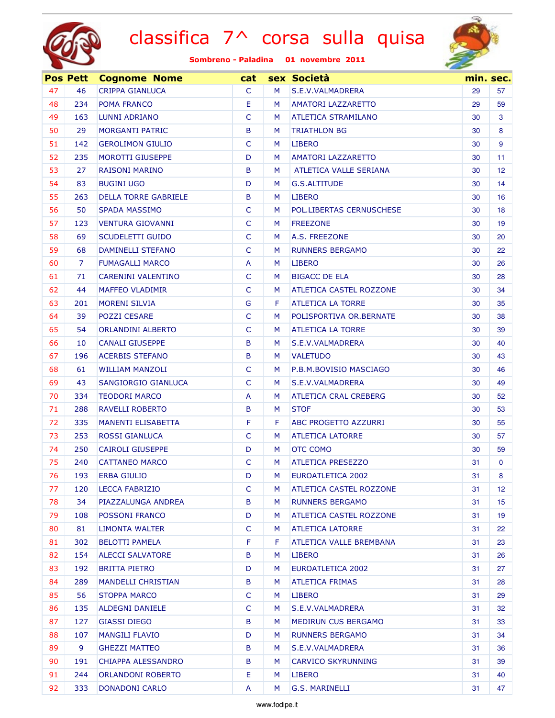



|    | <b>Pos Pett</b> | <b>Cognome Nome</b>         | cat          |   | sex Società                    |    | min. sec.        |
|----|-----------------|-----------------------------|--------------|---|--------------------------------|----|------------------|
| 47 | 46              | <b>CRIPPA GIANLUCA</b>      | C            | M | S.E.V.VALMADRERA               | 29 | 57               |
| 48 | 234             | POMA FRANCO                 | Е            | M | <b>AMATORI LAZZARETTO</b>      | 29 | 59               |
| 49 | 163             | LUNNI ADRIANO               | $\mathsf{C}$ | M | <b>ATLETICA STRAMILANO</b>     | 30 | 3                |
| 50 | 29              | <b>MORGANTI PATRIC</b>      | B            | M | <b>TRIATHLON BG</b>            | 30 | 8                |
| 51 | 142             | <b>GEROLIMON GIULIO</b>     | $\mathsf{C}$ | M | <b>LIBERO</b>                  | 30 | 9                |
| 52 | 235             | <b>MOROTTI GIUSEPPE</b>     | D            | M | <b>AMATORI LAZZARETTO</b>      | 30 | 11 <sub>1</sub>  |
| 53 | 27              | <b>RAISONI MARINO</b>       | B            | M | ATLETICA VALLE SERIANA         | 30 | 12 <sup>12</sup> |
| 54 | 83              | <b>BUGINI UGO</b>           | D            | M | G.S.ALTITUDE                   | 30 | 14               |
| 55 | 263             | <b>DELLA TORRE GABRIELE</b> | B            | M | <b>LIBERO</b>                  | 30 | 16               |
| 56 | 50              | <b>SPADA MASSIMO</b>        | C            | M | POL.LIBERTAS CERNUSCHESE       | 30 | 18               |
| 57 | 123             | <b>VENTURA GIOVANNI</b>     | $\mathsf{C}$ | M | <b>FREEZONE</b>                | 30 | 19               |
| 58 | 69              | <b>SCUDELETTI GUIDO</b>     | $\mathsf{C}$ | M | A.S. FREEZONE                  | 30 | 20               |
| 59 | 68              | <b>DAMINELLI STEFANO</b>    | $\mathsf{C}$ | M | <b>RUNNERS BERGAMO</b>         | 30 | 22               |
| 60 | $\overline{7}$  | <b>FUMAGALLI MARCO</b>      | A            | M | <b>LIBERO</b>                  | 30 | 26               |
| 61 | 71              | <b>CARENINI VALENTINO</b>   | $\mathsf{C}$ | M | <b>BIGACC DE ELA</b>           | 30 | 28               |
| 62 | 44              | <b>MAFFEO VLADIMIR</b>      | $\mathsf{C}$ | M | ATLETICA CASTEL ROZZONE        | 30 | 34               |
| 63 | 201             | <b>MORENI SILVIA</b>        | G            | F | <b>ATLETICA LA TORRE</b>       | 30 | 35               |
| 64 | 39              | <b>POZZI CESARE</b>         | $\mathsf{C}$ | M | POLISPORTIVA OR. BERNATE       | 30 | 38               |
| 65 | 54              | <b>ORLANDINI ALBERTO</b>    | $\mathsf{C}$ | M | <b>ATLETICA LA TORRE</b>       | 30 | 39               |
| 66 | 10              | <b>CANALI GIUSEPPE</b>      | B            | M | S.E.V.VALMADRERA               | 30 | 40               |
| 67 | 196             | <b>ACERBIS STEFANO</b>      | B            | M | <b>VALETUDO</b>                | 30 | 43               |
| 68 | 61              | <b>WILLIAM MANZOLI</b>      | $\mathsf{C}$ | M | P.B.M.BOVISIO MASCIAGO         | 30 | 46               |
| 69 | 43              | SANGIORGIO GIANLUCA         | $\mathsf{C}$ | M | S.E.V.VALMADRERA               | 30 | 49               |
| 70 | 334             | <b>TEODORI MARCO</b>        | A            | M | <b>ATLETICA CRAL CREBERG</b>   | 30 | 52               |
| 71 | 288             | RAVELLI ROBERTO             | B            | M | <b>STOF</b>                    | 30 | 53               |
| 72 | 335             | <b>MANENTI ELISABETTA</b>   | F            | F | ABC PROGETTO AZZURRI           | 30 | 55               |
| 73 | 253             | <b>ROSSI GIANLUCA</b>       | $\mathsf{C}$ | M | <b>ATLETICA LATORRE</b>        | 30 | 57               |
| 74 | 250             | <b>CAIROLI GIUSEPPE</b>     | D            | M | OTC COMO                       | 30 | 59               |
| 75 | 240             | <b>CATTANEO MARCO</b>       | $\mathsf{C}$ | M | <b>ATLETICA PRESEZZO</b>       | 31 | $\mathbf{0}$     |
| 76 | 193             | <b>ERBA GIULIO</b>          | D            | M | <b>EUROATLETICA 2002</b>       | 31 | 8                |
| 77 | 120             | <b>LECCA FABRIZIO</b>       | $\mathsf{C}$ | M | ATLETICA CASTEL ROZZONE        | 31 | 12 <sup>12</sup> |
| 78 | 34              | PIAZZALUNGA ANDREA          | B            | M | <b>RUNNERS BERGAMO</b>         | 31 | 15 <sub>1</sub>  |
| 79 | 108             | <b>POSSONI FRANCO</b>       | D            | M | <b>ATLETICA CASTEL ROZZONE</b> | 31 | 19               |
| 80 | 81              | LIMONTA WALTER              | $\mathsf{C}$ | M | <b>ATLETICA LATORRE</b>        | 31 | 22               |
| 81 | 302             | <b>BELOTTI PAMELA</b>       | F            | F | ATLETICA VALLE BREMBANA        | 31 | 23               |
| 82 | 154             | <b>ALECCI SALVATORE</b>     | B            | M | <b>LIBERO</b>                  | 31 | 26               |
| 83 | 192             | <b>BRITTA PIETRO</b>        | D            | M | EUROATLETICA 2002              | 31 | 27               |
| 84 | 289             | <b>MANDELLI CHRISTIAN</b>   | B            | M | <b>ATLETICA FRIMAS</b>         | 31 | 28               |
| 85 | 56              | <b>STOPPA MARCO</b>         | $\mathsf{C}$ | M | LIBERO                         | 31 | 29               |
| 86 | 135             | ALDEGNI DANIELE             | $\mathsf{C}$ | M | S.E.V.VALMADRERA               | 31 | 32               |
| 87 | 127             | <b>GIASSI DIEGO</b>         | B            | M | MEDIRUN CUS BERGAMO            | 31 | 33               |
| 88 | 107             | <b>MANGILI FLAVIO</b>       | D            | M | <b>RUNNERS BERGAMO</b>         | 31 | 34               |
| 89 | 9               | <b>GHEZZI MATTEO</b>        | B            | M | S.E.V.VALMADRERA               | 31 | 36               |
| 90 | 191             | CHIAPPA ALESSANDRO          | B            | M | <b>CARVICO SKYRUNNING</b>      | 31 | 39               |
| 91 | 244             | ORLANDONI ROBERTO           | Е            | M | <b>LIBERO</b>                  | 31 | 40               |
| 92 | 333             | <b>DONADONI CARLO</b>       | A            | M | <b>G.S. MARINELLI</b>          | 31 | 47               |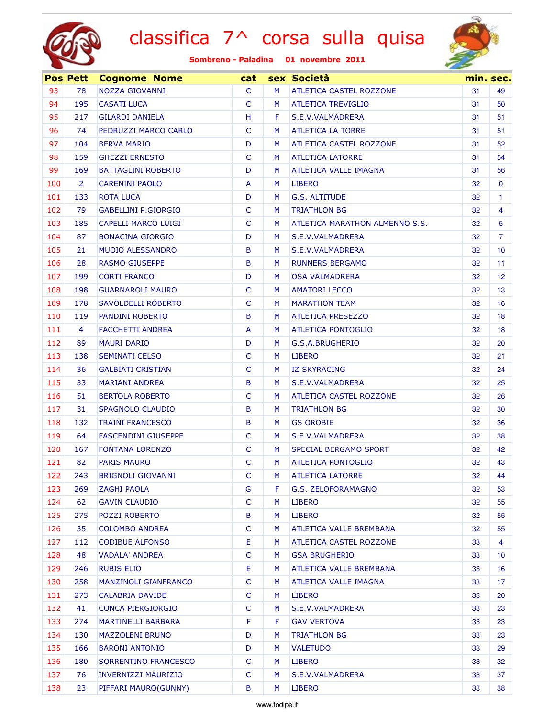



|     | <b>Pos Pett</b> | <b>Cognome Nome</b>         | cat          |   | sex Società                    | min. sec. |                 |
|-----|-----------------|-----------------------------|--------------|---|--------------------------------|-----------|-----------------|
| 93  | 78              | NOZZA GIOVANNI              | $\mathsf{C}$ | м | <b>ATLETICA CASTEL ROZZONE</b> | 31        | 49              |
| 94  | 195             | <b>CASATI LUCA</b>          | $\mathsf{C}$ | M | <b>ATLETICA TREVIGLIO</b>      | 31        | 50              |
| 95  | 217             | <b>GILARDI DANIELA</b>      | H            | F | S.E.V.VALMADRERA               | 31        | 51              |
| 96  | 74              | PEDRUZZI MARCO CARLO        | $\mathsf{C}$ | м | <b>ATLETICA LA TORRE</b>       | 31        | 51              |
| 97  | 104             | <b>BERVA MARIO</b>          | D            | M | ATLETICA CASTEL ROZZONE        | 31        | 52              |
| 98  | 159             | <b>GHEZZI ERNESTO</b>       | $\mathsf{C}$ | M | <b>ATLETICA LATORRE</b>        | 31        | 54              |
| 99  | 169             | <b>BATTAGLINI ROBERTO</b>   | D            | M | <b>ATLETICA VALLE IMAGNA</b>   | 31        | 56              |
| 100 | $\overline{2}$  | <b>CARENINI PAOLO</b>       | A            | M | <b>LIBERO</b>                  | 32        | $\mathbf{0}$    |
| 101 | 133             | <b>ROTA LUCA</b>            | D            | M | G.S. ALTITUDE                  | 32        | 1.              |
| 102 | 79              | <b>GABELLINI P.GIORGIO</b>  | $\mathsf{C}$ | M | <b>TRIATHLON BG</b>            | 32        | 4               |
| 103 | 185             | CAPELLI MARCO LUIGI         | $\mathsf{C}$ | M | ATLETICA MARATHON ALMENNO S.S. | 32        | 5               |
| 104 | 87              | <b>BONACINA GIORGIO</b>     | D            | M | S.E.V.VALMADRERA               | 32        | 7               |
| 105 | 21              | <b>MUOIO ALESSANDRO</b>     | B            | M | S.E.V.VALMADRERA               | 32        | 10 <sup>°</sup> |
| 106 | 28              | <b>RASMO GIUSEPPE</b>       | B            | M | <b>RUNNERS BERGAMO</b>         | 32        | 11              |
| 107 | 199             | <b>CORTI FRANCO</b>         | D            | M | <b>OSA VALMADRERA</b>          | 32        | 12 <sup>°</sup> |
| 108 | 198             | <b>GUARNAROLI MAURO</b>     | $\mathsf{C}$ | M | <b>AMATORI LECCO</b>           | 32        | 13              |
| 109 | 178             | SAVOLDELLI ROBERTO          | $\mathsf{C}$ | м | <b>MARATHON TEAM</b>           | 32        | 16              |
| 110 | 119             | <b>PANDINI ROBERTO</b>      | B            | M | <b>ATLETICA PRESEZZO</b>       | 32        | 18              |
| 111 | 4               | <b>FACCHETTI ANDREA</b>     | A            | M | <b>ATLETICA PONTOGLIO</b>      | 32        | 18              |
| 112 | 89              | <b>MAURI DARIO</b>          | D            | M | G.S.A.BRUGHERIO                | 32        | 20              |
| 113 | 138             | <b>SEMINATI CELSO</b>       | $\mathsf{C}$ | M | <b>LIBERO</b>                  | 32        | 21              |
| 114 | 36              | <b>GALBIATI CRISTIAN</b>    | $\mathsf{C}$ | M | <b>IZ SKYRACING</b>            | 32        | 24              |
| 115 | 33              | <b>MARIANI ANDREA</b>       | B            | M | S.E.V.VALMADRERA               | 32        | 25              |
| 116 | 51              | <b>BERTOLA ROBERTO</b>      | $\mathsf{C}$ | M | <b>ATLETICA CASTEL ROZZONE</b> | 32        | 26              |
| 117 | 31              | SPAGNOLO CLAUDIO            | B            | M | <b>TRIATHLON BG</b>            | 32        | 30              |
| 118 | 132             | <b>TRAINI FRANCESCO</b>     | B            | M | <b>GS OROBIE</b>               | 32        | 36              |
| 119 | 64              | <b>FASCENDINI GIUSEPPE</b>  | C            | M | S.E.V.VALMADRERA               | 32        | 38              |
| 120 | 167             | <b>FONTANA LORENZO</b>      | C            | M | SPECIAL BERGAMO SPORT          | 32        | 42              |
| 121 | 82              | <b>PARIS MAURO</b>          | C            | М | <b>ATLETICA PONTOGLIO</b>      | 32        | 43              |
| 122 | 243             | <b>BRIGNOLI GIOVANNI</b>    | C            | M | <b>ATLETICA LATORRE</b>        | 32        | 44              |
| 123 | 269             | <b>ZAGHI PAOLA</b>          | G            | F | G.S. ZELOFORAMAGNO             | 32        | 53              |
| 124 | 62              | <b>GAVIN CLAUDIO</b>        | $\mathsf{C}$ | M | <b>LIBERO</b>                  | 32        | 55              |
| 125 | 275             | <b>POZZI ROBERTO</b>        | B            | M | <b>LIBERO</b>                  | 32        | 55              |
| 126 | 35              | <b>COLOMBO ANDREA</b>       | $\mathsf{C}$ | M | ATLETICA VALLE BREMBANA        | 32        | 55              |
| 127 | 112             | <b>CODIBUE ALFONSO</b>      | E            | M | ATLETICA CASTEL ROZZONE        | 33        | 4               |
| 128 | 48              | VADALA' ANDREA              | $\mathsf{C}$ | M | <b>GSA BRUGHERIO</b>           | 33        | 10 <sup>°</sup> |
| 129 | 246             | <b>RUBIS ELIO</b>           | E            | M | <b>ATLETICA VALLE BREMBANA</b> | 33        | 16              |
| 130 | 258             | <b>MANZINOLI GIANFRANCO</b> | C            | M | ATLETICA VALLE IMAGNA          | 33        | 17              |
| 131 | 273             | CALABRIA DAVIDE             | C            | M | <b>LIBERO</b>                  | 33        | 20              |
| 132 | 41              | CONCA PIERGIORGIO           | $\mathsf{C}$ | M | S.E.V.VALMADRERA               | 33        | 23              |
| 133 | 274             | <b>MARTINELLI BARBARA</b>   | F            | F | <b>GAV VERTOVA</b>             | 33        | 23              |
| 134 | 130             | <b>MAZZOLENI BRUNO</b>      | D            | M | <b>TRIATHLON BG</b>            | 33        | 23              |
| 135 | 166             | <b>BARONI ANTONIO</b>       | D            | M | <b>VALETUDO</b>                | 33        | 29              |
| 136 | 180             | SORRENTINO FRANCESCO        | C            | М | <b>LIBERO</b>                  | 33        | 32              |
| 137 | 76              | <b>INVERNIZZI MAURIZIO</b>  | C            | M | S.E.V.VALMADRERA               | 33        | 37              |
| 138 | 23              | PIFFARI MAURO(GUNNY)        | B            | M | <b>LIBERO</b>                  | 33        | 38              |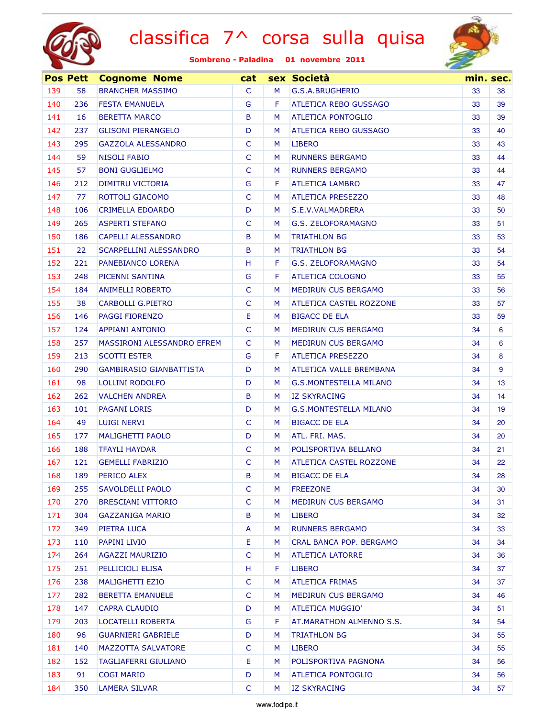



|     | <b>Pos Pett</b> | <b>Cognome Nome</b>               | cat          |    | sex Società                    |    | min. sec. |
|-----|-----------------|-----------------------------------|--------------|----|--------------------------------|----|-----------|
| 139 | 58              | <b>BRANCHER MASSIMO</b>           | $\mathsf{C}$ | м  | G.S.A.BRUGHERIO                | 33 | 38        |
| 140 | 236             | <b>FESTA EMANUELA</b>             | G            | F. | <b>ATLETICA REBO GUSSAGO</b>   | 33 | 39        |
| 141 | 16              | <b>BERETTA MARCO</b>              | B            | M  | <b>ATLETICA PONTOGLIO</b>      | 33 | 39        |
| 142 | 237             | <b>GLISONI PIERANGELO</b>         | D            | м  | ATLETICA REBO GUSSAGO          | 33 | 40        |
| 143 | 295             | <b>GAZZOLA ALESSANDRO</b>         | C            | M  | <b>LIBERO</b>                  | 33 | 43        |
| 144 | 59              | <b>NISOLI FABIO</b>               | $\mathsf{C}$ | M  | <b>RUNNERS BERGAMO</b>         | 33 | 44        |
| 145 | 57              | <b>BONI GUGLIELMO</b>             | $\mathsf{C}$ | M  | <b>RUNNERS BERGAMO</b>         | 33 | 44        |
| 146 | 212             | DIMITRU VICTORIA                  | G            | F  | <b>ATLETICA LAMBRO</b>         | 33 | 47        |
| 147 | 77              | ROTTOLI GIACOMO                   | $\mathsf{C}$ | M  | <b>ATLETICA PRESEZZO</b>       | 33 | 48        |
| 148 | 106             | CRIMELLA EDOARDO                  | D            | M  | S.E.V.VALMADRERA               | 33 | 50        |
| 149 | 265             | <b>ASPERTI STEFANO</b>            | $\mathsf{C}$ | M  | G.S. ZELOFORAMAGNO             | 33 | 51        |
| 150 | 186             | <b>CAPELLI ALESSANDRO</b>         | B            | M  | <b>TRIATHLON BG</b>            | 33 | 53        |
| 151 | 22              | <b>SCARPELLINI ALESSANDRO</b>     | B            | M  | <b>TRIATHLON BG</b>            | 33 | 54        |
| 152 | 221             | PANEBIANCO LORENA                 | H            | F  | <b>G.S. ZELOFORAMAGNO</b>      | 33 | 54        |
| 153 | 248             | PICENNI SANTINA                   | G            | F  | ATLETICA COLOGNO               | 33 | 55        |
| 154 | 184             | <b>ANIMELLI ROBERTO</b>           | $\mathsf{C}$ | M  | MEDIRUN CUS BERGAMO            | 33 | 56        |
| 155 | 38              | <b>CARBOLLI G.PIETRO</b>          | $\mathsf{C}$ | M  | <b>ATLETICA CASTEL ROZZONE</b> | 33 | 57        |
| 156 | 146             | <b>PAGGI FIORENZO</b>             | Ε            | M  | <b>BIGACC DE ELA</b>           | 33 | 59        |
| 157 | 124             | <b>APPIANI ANTONIO</b>            | $\mathsf{C}$ | M  | <b>MEDIRUN CUS BERGAMO</b>     | 34 | 6         |
| 158 | 257             | <b>MASSIRONI ALESSANDRO EFREM</b> | $\mathsf{C}$ | M  | <b>MEDIRUN CUS BERGAMO</b>     | 34 | 6         |
| 159 | 213             | <b>SCOTTI ESTER</b>               | G            | F  | <b>ATLETICA PRESEZZO</b>       | 34 | 8         |
| 160 | 290             | <b>GAMBIRASIO GIANBATTISTA</b>    | D            | м  | ATLETICA VALLE BREMBANA        | 34 | 9         |
| 161 | 98              | LOLLINI RODOLFO                   | D            | M  | <b>G.S.MONTESTELLA MILANO</b>  | 34 | 13        |
| 162 | 262             | <b>VALCHEN ANDREA</b>             | B            | M  | <b>IZ SKYRACING</b>            | 34 | 14        |
| 163 | 101             | <b>PAGANI LORIS</b>               | D            | M  | <b>G.S.MONTESTELLA MILANO</b>  | 34 | 19        |
| 164 | 49              | <b>LUIGI NERVI</b>                | $\mathsf{C}$ | M  | <b>BIGACC DE ELA</b>           | 34 | 20        |
| 165 | 177             | <b>MALIGHETTI PAOLO</b>           | D            | M  | ATL. FRI. MAS.                 | 34 | 20        |
| 166 | 188             | <b>TFAYLI HAYDAR</b>              | $\mathsf{C}$ | M  | POLISPORTIVA BELLANO           | 34 | 21        |
| 167 | 121             | <b>GEMELLI FABRIZIO</b>           | $\mathsf{C}$ | M  | <b>ATLETICA CASTEL ROZZONE</b> | 34 | 22        |
| 168 | 189             | <b>PERICO ALEX</b>                | B            | M  | <b>BIGACC DE ELA</b>           | 34 | 28        |
| 169 | 255             | SAVOLDELLI PAOLO                  | C            | M  | <b>FREEZONE</b>                | 34 | 30        |
| 170 | 270             | <b>BRESCIANI VITTORIO</b>         | C            | M  | <b>MEDIRUN CUS BERGAMO</b>     | 34 | 31        |
| 171 | 304             | <b>GAZZANIGA MARIO</b>            | B            | M  | LIBERO                         | 34 | 32        |
| 172 | 349             | PIETRA LUCA                       | A            | M  | <b>RUNNERS BERGAMO</b>         | 34 | 33        |
| 173 | 110             | PAPINI LIVIO                      | Ε            | M  | CRAL BANCA POP. BERGAMO        | 34 | 34        |
| 174 | 264             | <b>AGAZZI MAURIZIO</b>            | $\mathsf{C}$ | M  | <b>ATLETICA LATORRE</b>        | 34 | 36        |
| 175 | 251             | PELLICIOLI ELISA                  | H            | F. | LIBERO                         | 34 | 37        |
| 176 | 238             | <b>MALIGHETTI EZIO</b>            | $\mathsf{C}$ | M  | <b>ATLETICA FRIMAS</b>         | 34 | 37        |
| 177 | 282             | <b>BERETTA EMANUELE</b>           | C            | M  | <b>MEDIRUN CUS BERGAMO</b>     | 34 | 46        |
| 178 | 147             | <b>CAPRA CLAUDIO</b>              | D            | M  | ATLETICA MUGGIO'               | 34 | 51        |
| 179 | 203             | LOCATELLI ROBERTA                 | G            | F  | AT.MARATHON ALMENNO S.S.       | 34 | 54        |
| 180 | 96              | <b>GUARNIERI GABRIELE</b>         | D            | M  | <b>TRIATHLON BG</b>            | 34 | 55        |
| 181 | 140             | <b>MAZZOTTA SALVATORE</b>         | C            | M  | <b>LIBERO</b>                  | 34 | 55        |
| 182 | 152             | <b>TAGLIAFERRI GIULIANO</b>       | Ε            | M  | POLISPORTIVA PAGNONA           | 34 | 56        |
| 183 | 91              | <b>COGI MARIO</b>                 | D            | M  | ATLETICA PONTOGLIO             | 34 | 56        |
| 184 | 350             | <b>LAMERA SILVAR</b>              | C            | M  | <b>IZ SKYRACING</b>            | 34 | 57        |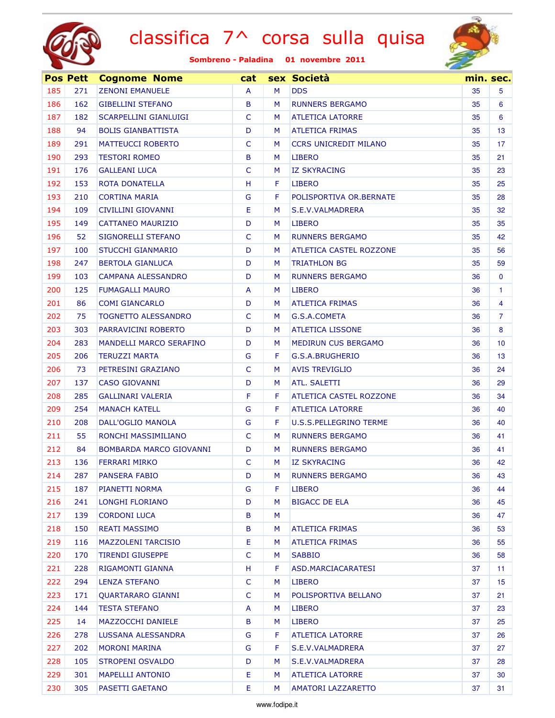



|     | <b>Pos Pett</b> | <b>Cognome Nome</b>            | cat          |   | sex Società                   |    | min. sec.       |
|-----|-----------------|--------------------------------|--------------|---|-------------------------------|----|-----------------|
| 185 | 271             | <b>ZENONI EMANUELE</b>         | A            | M | <b>DDS</b>                    | 35 | 5               |
| 186 | 162             | <b>GIBELLINI STEFANO</b>       | B            | M | <b>RUNNERS BERGAMO</b>        | 35 | 6               |
| 187 | 182             | <b>SCARPELLINI GIANLUIGI</b>   | C            | M | <b>ATLETICA LATORRE</b>       | 35 | 6               |
| 188 | 94              | <b>BOLIS GIANBATTISTA</b>      | D            | M | <b>ATLETICA FRIMAS</b>        | 35 | 13              |
| 189 | 291             | <b>MATTEUCCI ROBERTO</b>       | C            | M | <b>CCRS UNICREDIT MILANO</b>  | 35 | 17              |
| 190 | 293             | <b>TESTORI ROMEO</b>           | B            | M | <b>LIBERO</b>                 | 35 | 21              |
| 191 | 176             | <b>GALLEANI LUCA</b>           | C            | M | <b>IZ SKYRACING</b>           | 35 | 23              |
| 192 | 153             | ROTA DONATELLA                 | H            | F | <b>LIBERO</b>                 | 35 | 25              |
| 193 | 210             | <b>CORTINA MARIA</b>           | G            | F | POLISPORTIVA OR.BERNATE       | 35 | 28              |
| 194 | 109             | CIVILLINI GIOVANNI             | E            | M | S.E.V.VALMADRERA              | 35 | 32              |
| 195 | 149             | CATTANEO MAURIZIO              | D            | M | <b>LIBERO</b>                 | 35 | 35              |
| 196 | 52              | <b>SIGNORELLI STEFANO</b>      | C            | M | <b>RUNNERS BERGAMO</b>        | 35 | 42              |
| 197 | 100             | <b>STUCCHI GIANMARIO</b>       | D            | M | ATLETICA CASTEL ROZZONE       | 35 | 56              |
| 198 | 247             | <b>BERTOLA GIANLUCA</b>        | D            | M | <b>TRIATHLON BG</b>           | 35 | 59              |
| 199 | 103             | <b>CAMPANA ALESSANDRO</b>      | D            | M | <b>RUNNERS BERGAMO</b>        | 36 | $\mathbf{0}$    |
| 200 | 125             | <b>FUMAGALLI MAURO</b>         | A            | M | <b>LIBERO</b>                 | 36 | 1               |
| 201 | 86              | <b>COMI GIANCARLO</b>          | D            | M | <b>ATLETICA FRIMAS</b>        | 36 | 4               |
| 202 | 75              | <b>TOGNETTO ALESSANDRO</b>     | $\mathsf{C}$ | M | G.S.A.COMETA                  | 36 | $\overline{7}$  |
| 203 | 303             | PARRAVICINI ROBERTO            | D            | M | <b>ATLETICA LISSONE</b>       | 36 | 8               |
| 204 | 283             | <b>MANDELLI MARCO SERAFINO</b> | D            | M | <b>MEDIRUN CUS BERGAMO</b>    | 36 | 10 <sup>°</sup> |
| 205 | 206             | <b>TERUZZI MARTA</b>           | G            | F | G.S.A.BRUGHERIO               | 36 | 13              |
| 206 | 73              | PETRESINI GRAZIANO             | $\mathsf{C}$ | M | <b>AVIS TREVIGLIO</b>         | 36 | 24              |
| 207 | 137             | <b>CASO GIOVANNI</b>           | D            | M | <b>ATL. SALETTI</b>           | 36 | 29              |
| 208 | 285             | <b>GALLINARI VALERIA</b>       | F            | F | ATLETICA CASTEL ROZZONE       | 36 | 34              |
| 209 | 254             | <b>MANACH KATELL</b>           | G            | F | <b>ATLETICA LATORRE</b>       | 36 | 40              |
| 210 | 208             | DALL'OGLIO MANOLA              | G            | F | <b>U.S.S.PELLEGRINO TERME</b> | 36 | 40              |
| 211 | 55              | RONCHI MASSIMILIANO            | C            | M | <b>RUNNERS BERGAMO</b>        | 36 | 41              |
| 212 | 84              | BOMBARDA MARCO GIOVANNI        | D            | M | <b>RUNNERS BERGAMO</b>        | 36 | 41              |
| 213 | 136             | <b>FERRARI MIRKO</b>           | $\mathsf{C}$ | M | <b>IZ SKYRACING</b>           | 36 | 42              |
| 214 | 287             | PANSERA FABIO                  | D            | M | <b>RUNNERS BERGAMO</b>        | 36 | 43              |
| 215 | 187             | PIANETTI NORMA                 | G            | F | LIBERO                        | 36 | 44              |
| 216 | 241             | LONGHI FLORIANO                | D            | M | <b>BIGACC DE ELA</b>          | 36 | 45              |
| 217 | 139             | <b>CORDONI LUCA</b>            | B            | M |                               | 36 | 47              |
| 218 | 150             | <b>REATI MASSIMO</b>           | B            | M | <b>ATLETICA FRIMAS</b>        | 36 | 53              |
| 219 | 116             | <b>MAZZOLENI TARCISIO</b>      | Е            | M | <b>ATLETICA FRIMAS</b>        | 36 | 55              |
| 220 | 170             | <b>TIRENDI GIUSEPPE</b>        | $\mathsf{C}$ | M | <b>SABBIO</b>                 | 36 | 58              |
| 221 | 228             | RIGAMONTI GIANNA               | H            | F | ASD.MARCIACARATESI            | 37 | 11              |
| 222 | 294             | <b>LENZA STEFANO</b>           | C            | M | <b>LIBERO</b>                 | 37 | 15              |
| 223 | 171             | <b>QUARTARARO GIANNI</b>       | C            | M | POLISPORTIVA BELLANO          | 37 | 21              |
| 224 | 144             | <b>TESTA STEFANO</b>           | A            | M | <b>LIBERO</b>                 | 37 | 23              |
| 225 | 14              | <b>MAZZOCCHI DANIELE</b>       | B            | M | <b>LIBERO</b>                 | 37 | 25              |
| 226 | 278             | LUSSANA ALESSANDRA             | G            | F | <b>ATLETICA LATORRE</b>       | 37 | 26              |
| 227 | 202             | <b>MORONI MARINA</b>           | G            | F | S.E.V.VALMADRERA              | 37 | 27              |
| 228 | 105             | <b>STROPENI OSVALDO</b>        | D            | M | S.E.V.VALMADRERA              | 37 | 28              |
| 229 | 301             | <b>MAPELLLI ANTONIO</b>        | E            | M | <b>ATLETICA LATORRE</b>       | 37 | 30              |
| 230 | 305             | PASETTI GAETANO                | E            | M | <b>AMATORI LAZZARETTO</b>     | 37 | 31              |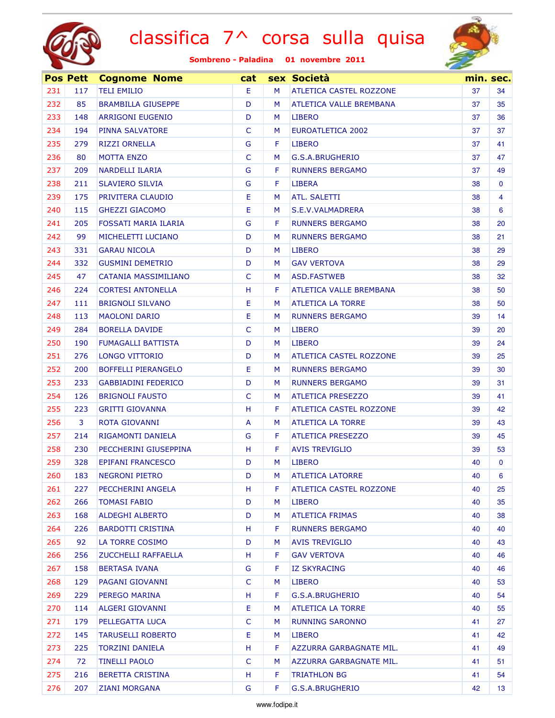



|     | <b>Pos Pett</b> | <b>Cognome Nome</b>        | cat          |   | sex Società                    |    | min. sec.       |
|-----|-----------------|----------------------------|--------------|---|--------------------------------|----|-----------------|
| 231 | 117             | <b>TELI EMILIO</b>         | E.           | M | <b>ATLETICA CASTEL ROZZONE</b> | 37 | 34              |
| 232 | 85              | <b>BRAMBILLA GIUSEPPE</b>  | D            | M | <b>ATLETICA VALLE BREMBANA</b> | 37 | 35              |
| 233 | 148             | <b>ARRIGONI EUGENIO</b>    | D            | M | <b>LIBERO</b>                  | 37 | 36              |
| 234 | 194             | <b>PINNA SALVATORE</b>     | C            | M | <b>EUROATLETICA 2002</b>       | 37 | 37              |
| 235 | 279             | <b>RIZZI ORNELLA</b>       | G            | F | <b>LIBERO</b>                  | 37 | 41              |
| 236 | 80              | <b>MOTTA ENZO</b>          | C            | M | G.S.A.BRUGHERIO                | 37 | 47              |
| 237 | 209             | <b>NARDELLI ILARIA</b>     | G            | F | <b>RUNNERS BERGAMO</b>         | 37 | 49              |
| 238 | 211             | <b>SLAVIERO SILVIA</b>     | G            | F | <b>LIBERA</b>                  | 38 | $\mathbf{0}$    |
| 239 | 175             | PRIVITERA CLAUDIO          | Е            | M | <b>ATL, SALETTI</b>            | 38 | 4               |
| 240 | 115             | <b>GHEZZI GIACOMO</b>      | Е            | M | S.E.V.VALMADRERA               | 38 | 6               |
| 241 | 205             | FOSSATI MARIA ILARIA       | G            | F | <b>RUNNERS BERGAMO</b>         | 38 | 20              |
| 242 | 99              | MICHELETTI LUCIANO         | D            | M | <b>RUNNERS BERGAMO</b>         | 38 | 21 <sub>2</sub> |
| 243 | 331             | <b>GARAU NICOLA</b>        | D            | M | <b>LIBERO</b>                  | 38 | 29              |
| 244 | 332             | <b>GUSMINI DEMETRIO</b>    | D            | M | <b>GAV VERTOVA</b>             | 38 | 29              |
| 245 | 47              | CATANIA MASSIMILIANO       | C            | M | ASD.FASTWEB                    | 38 | 32              |
| 246 | 224             | <b>CORTESI ANTONELLA</b>   | н            | F | ATLETICA VALLE BREMBANA        | 38 | 50              |
| 247 | 111             | <b>BRIGNOLI SILVANO</b>    | Е            | M | <b>ATLETICA LA TORRE</b>       | 38 | 50              |
| 248 | 113             | <b>MAOLONI DARIO</b>       | Е            | M | <b>RUNNERS BERGAMO</b>         | 39 | 14              |
| 249 | 284             | <b>BORELLA DAVIDE</b>      | $\mathsf{C}$ | M | <b>LIBERO</b>                  | 39 | 20              |
| 250 | 190             | <b>FUMAGALLI BATTISTA</b>  | D            | M | <b>LIBERO</b>                  | 39 | 24              |
| 251 | 276             | LONGO VITTORIO             | D            | M | ATLETICA CASTEL ROZZONE        | 39 | 25              |
| 252 | 200             | <b>BOFFELLI PIERANGELO</b> | Е            | M | <b>RUNNERS BERGAMO</b>         | 39 | 30              |
| 253 | 233             | <b>GABBIADINI FEDERICO</b> | D            | M | <b>RUNNERS BERGAMO</b>         | 39 | 31              |
| 254 | 126             | <b>BRIGNOLI FAUSTO</b>     | C            | M | <b>ATLETICA PRESEZZO</b>       | 39 | 41              |
| 255 | 223             | <b>GRITTI GIOVANNA</b>     | H            | F | <b>ATLETICA CASTEL ROZZONE</b> | 39 | 42              |
| 256 | 3               | ROTA GIOVANNI              | A            | M | <b>ATLETICA LA TORRE</b>       | 39 | 43              |
| 257 | 214             | RIGAMONTI DANIELA          | G            | F | <b>ATLETICA PRESEZZO</b>       | 39 | 45              |
| 258 | 230             | PECCHERINI GIUSEPPINA      | H            | F | <b>AVIS TREVIGLIO</b>          | 39 | 53              |
| 259 | 328             | <b>EPIFANI FRANCESCO</b>   | D            | M | <b>LIBERO</b>                  | 40 | $\mathbf{0}$    |
| 260 | 183             | <b>NEGRONI PIETRO</b>      | D            | M | <b>ATLETICA LATORRE</b>        | 40 | 6               |
| 261 | 227             | PECCHERINI ANGELA          | H            | F | <b>ATLETICA CASTEL ROZZONE</b> | 40 | 25              |
| 262 | 266             | <b>TOMASI FABIO</b>        | D            | M | <b>LIBERO</b>                  | 40 | 35              |
| 263 | 168             | <b>ALDEGHI ALBERTO</b>     | D            | M | <b>ATLETICA FRIMAS</b>         | 40 | 38              |
| 264 | 226             | <b>BARDOTTI CRISTINA</b>   | H            | F | <b>RUNNERS BERGAMO</b>         | 40 | 40              |
| 265 | 92              | LA TORRE COSIMO            | D            | M | <b>AVIS TREVIGLIO</b>          | 40 | 43              |
| 266 | 256             | ZUCCHELLI RAFFAELLA        | H            | F | <b>GAV VERTOVA</b>             | 40 | 46              |
| 267 | 158             | <b>BERTASA IVANA</b>       | G            | F | <b>IZ SKYRACING</b>            | 40 | 46              |
| 268 | 129             | PAGANI GIOVANNI            | C            | M | <b>LIBERO</b>                  | 40 | 53              |
| 269 | 229             | PEREGO MARINA              | H            | F | G.S.A.BRUGHERIO                | 40 | 54              |
| 270 | 114             | ALGERI GIOVANNI            | Е            | M | ATLETICA LA TORRE              | 40 | 55              |
| 271 | 179             | PELLEGATTA LUCA            | $\mathsf{C}$ | M | <b>RUNNING SARONNO</b>         | 41 | 27              |
| 272 | 145             | <b>TARUSELLI ROBERTO</b>   | Е            | M | <b>LIBERO</b>                  | 41 | 42              |
| 273 | 225             | <b>TORZINI DANIELA</b>     | H            | F | AZZURRA GARBAGNATE MIL.        | 41 | 49              |
| 274 | 72              | <b>TINELLI PAOLO</b>       | C            | M | AZZURRA GARBAGNATE MIL.        | 41 | 51              |
| 275 | 216             | <b>BERETTA CRISTINA</b>    | H            | F | <b>TRIATHLON BG</b>            | 41 | 54              |
| 276 | 207             | <b>ZIANI MORGANA</b>       | G            | F | G.S.A.BRUGHERIO                | 42 | 13 <sup>°</sup> |